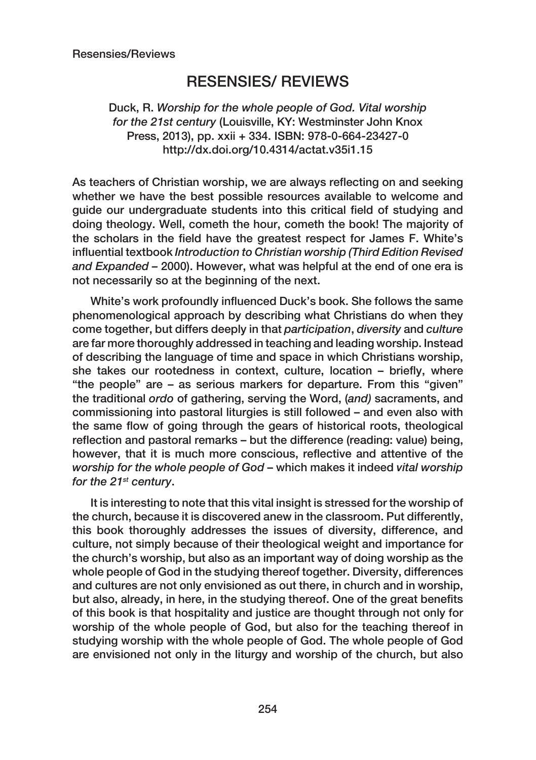# RESENSIES/ REVIEWS

# Duck, R. *Worship for the whole people of God. Vital worship for the 21st century* (Louisville, KY: Westminster John Knox Press, 2013), pp. xxii + 334. ISBN: 978‑0‑664‑23427‑0 http://dx.doi.org/10.4314/actat.v35i1.15

As teachers of Christian worship, we are always reflecting on and seeking whether we have the best possible resources available to welcome and guide our undergraduate students into this critical field of studying and doing theology. Well, cometh the hour, cometh the book! The majority of the scholars in the field have the greatest respect for James F. White's influential textbook *Introduction to Christian worship (Third Edition Revised and Expanded –* 2000). However, what was helpful at the end of one era is not necessarily so at the beginning of the next.

White's work profoundly influenced Duck's book. She follows the same phenomenological approach by describing what Christians do when they come together, but differs deeply in that *participation*, *diversity* and *culture* are far more thoroughly addressed in teaching and leading worship. Instead of describing the language of time and space in which Christians worship, she takes our rootedness in context, culture, location – briefly, where "the people" are – as serious markers for departure. From this "given" the traditional *ordo* of gathering, serving the Word, (*and)* sacraments, and commissioning into pastoral liturgies is still followed – and even also with the same flow of going through the gears of historical roots, theological reflection and pastoral remarks – but the difference (reading: value) being, however, that it is much more conscious, reflective and attentive of the *worship for the whole people of God* – which makes it indeed *vital worship for the 21st century*.

It is interesting to note that this vital insight is stressed for the worship of the church, because it is discovered anew in the classroom. Put differently, this book thoroughly addresses the issues of diversity, difference, and culture, not simply because of their theological weight and importance for the church's worship, but also as an important way of doing worship as the whole people of God in the studying thereof together. Diversity, differences and cultures are not only envisioned as out there, in church and in worship, but also, already, in here, in the studying thereof. One of the great benefits of this book is that hospitality and justice are thought through not only for worship of the whole people of God, but also for the teaching thereof in studying worship with the whole people of God. The whole people of God are envisioned not only in the liturgy and worship of the church, but also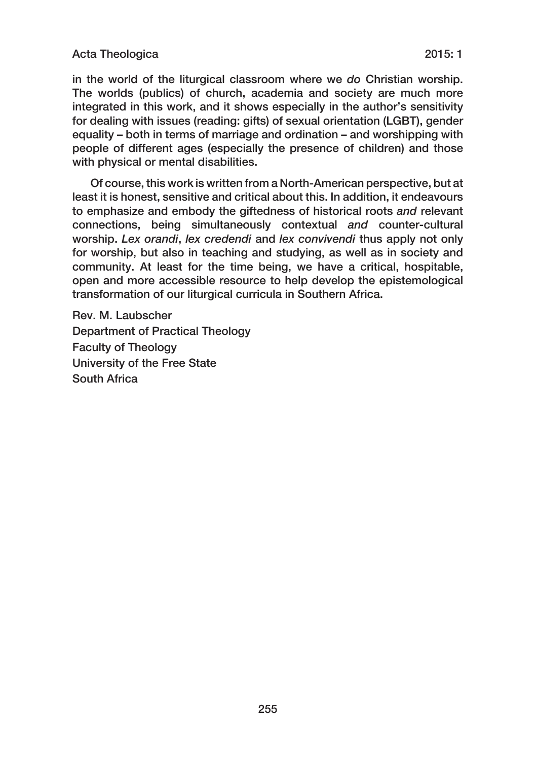## Acta Theologica 2015: 1

in the world of the liturgical classroom where we *do* Christian worship. The worlds (publics) of church, academia and society are much more integrated in this work, and it shows especially in the author's sensitivity for dealing with issues (reading: gifts) of sexual orientation (LGBT), gender equality – both in terms of marriage and ordination – and worshipping with people of different ages (especially the presence of children) and those with physical or mental disabilities.

Of course, this work is written from a North‑American perspective, but at least it is honest, sensitive and critical about this. In addition, it endeavours to emphasize and embody the giftedness of historical roots *and* relevant connections, being simultaneously contextual *and* counter‑cultural worship. *Lex orandi*, *lex credendi* and *lex convivendi* thus apply not only for worship, but also in teaching and studying, as well as in society and community. At least for the time being, we have a critical, hospitable, open and more accessible resource to help develop the epistemological transformation of our liturgical curricula in Southern Africa.

Rev. M. Laubscher Department of Practical Theology Faculty of Theology University of the Free State South Africa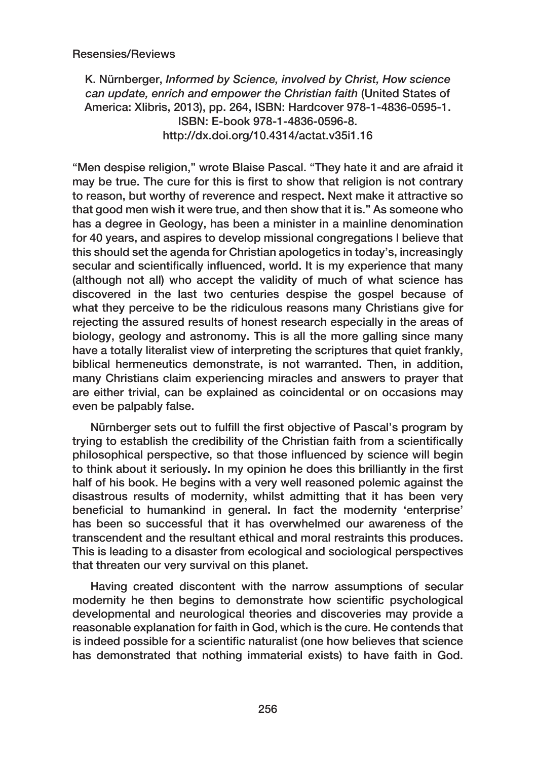K. Nürnberger, *Informed by Science, involved by Christ, How science can update, enrich and empower the Christian faith* (United States of America: Xlibris, 2013), pp. 264, ISBN: Hardcover 978‑1‑4836‑0595‑1. ISBN: E‑book 978‑1‑4836‑0596‑8. http://dx.doi.org/10.4314/actat.v35i1.16

"Men despise religion," wrote Blaise Pascal. "They hate it and are afraid it may be true. The cure for this is first to show that religion is not contrary to reason, but worthy of reverence and respect. Next make it attractive so that good men wish it were true, and then show that it is." As someone who has a degree in Geology, has been a minister in a mainline denomination for 40 years, and aspires to develop missional congregations I believe that this should set the agenda for Christian apologetics in today's, increasingly secular and scientifically influenced, world. It is my experience that many (although not all) who accept the validity of much of what science has discovered in the last two centuries despise the gospel because of what they perceive to be the ridiculous reasons many Christians give for rejecting the assured results of honest research especially in the areas of biology, geology and astronomy. This is all the more galling since many have a totally literalist view of interpreting the scriptures that quiet frankly, biblical hermeneutics demonstrate, is not warranted. Then, in addition, many Christians claim experiencing miracles and answers to prayer that are either trivial, can be explained as coincidental or on occasions may even be palpably false.

Nürnberger sets out to fulfill the first objective of Pascal's program by trying to establish the credibility of the Christian faith from a scientifically philosophical perspective, so that those influenced by science will begin to think about it seriously. In my opinion he does this brilliantly in the first half of his book. He begins with a very well reasoned polemic against the disastrous results of modernity, whilst admitting that it has been very beneficial to humankind in general. In fact the modernity 'enterprise' has been so successful that it has overwhelmed our awareness of the transcendent and the resultant ethical and moral restraints this produces. This is leading to a disaster from ecological and sociological perspectives that threaten our very survival on this planet.

Having created discontent with the narrow assumptions of secular modernity he then begins to demonstrate how scientific psychological developmental and neurological theories and discoveries may provide a reasonable explanation for faith in God, which is the cure. He contends that is indeed possible for a scientific naturalist (one how believes that science has demonstrated that nothing immaterial exists) to have faith in God.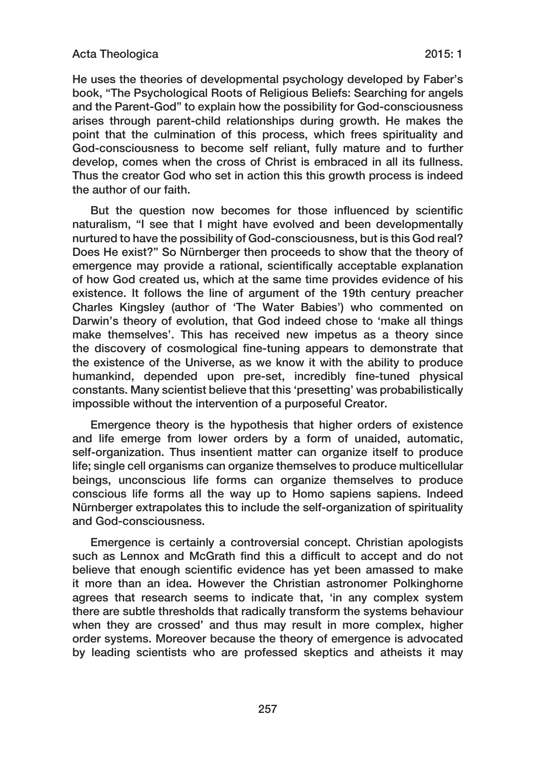He uses the theories of developmental psychology developed by Faber's book, "The Psychological Roots of Religious Beliefs: Searching for angels and the Parent-God" to explain how the possibility for God-consciousness arises through parent‑child relationships during growth. He makes the point that the culmination of this process, which frees spirituality and God-consciousness to become self reliant, fully mature and to further develop, comes when the cross of Christ is embraced in all its fullness. Thus the creator God who set in action this this growth process is indeed the author of our faith.

But the question now becomes for those influenced by scientific naturalism, "I see that I might have evolved and been developmentally nurtured to have the possibility of God‑consciousness, but is this God real? Does He exist?" So Nürnberger then proceeds to show that the theory of emergence may provide a rational, scientifically acceptable explanation of how God created us, which at the same time provides evidence of his existence. It follows the line of argument of the 19th century preacher Charles Kingsley (author of 'The Water Babies') who commented on Darwin's theory of evolution, that God indeed chose to 'make all things make themselves'. This has received new impetus as a theory since the discovery of cosmological fine‑tuning appears to demonstrate that the existence of the Universe, as we know it with the ability to produce humankind, depended upon pre-set, incredibly fine-tuned physical constants. Many scientist believe that this 'presetting' was probabilistically impossible without the intervention of a purposeful Creator.

Emergence theory is the hypothesis that higher orders of existence and life emerge from lower orders by a form of unaided, automatic, self-organization. Thus insentient matter can organize itself to produce life; single cell organisms can organize themselves to produce multicellular beings, unconscious life forms can organize themselves to produce conscious life forms all the way up to Homo sapiens sapiens. Indeed Nürnberger extrapolates this to include the self-organization of spirituality and God‑consciousness.

Emergence is certainly a controversial concept. Christian apologists such as Lennox and McGrath find this a difficult to accept and do not believe that enough scientific evidence has yet been amassed to make it more than an idea. However the Christian astronomer Polkinghorne agrees that research seems to indicate that, 'in any complex system there are subtle thresholds that radically transform the systems behaviour when they are crossed' and thus may result in more complex, higher order systems. Moreover because the theory of emergence is advocated by leading scientists who are professed skeptics and atheists it may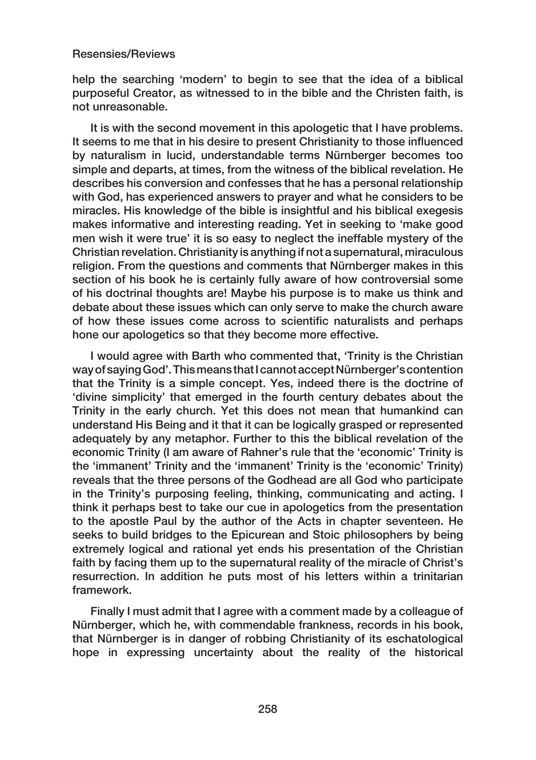help the searching 'modern' to begin to see that the idea of a biblical purposeful Creator, as witnessed to in the bible and the Christen faith, is not unreasonable.

It is with the second movement in this apologetic that I have problems. It seems to me that in his desire to present Christianity to those influenced by naturalism in lucid, understandable terms Nürnberger becomes too simple and departs, at times, from the witness of the biblical revelation. He describes his conversion and confesses that he has a personal relationship with God, has experienced answers to prayer and what he considers to be miracles. His knowledge of the bible is insightful and his biblical exegesis makes informative and interesting reading. Yet in seeking to 'make good men wish it were true' it is so easy to neglect the ineffable mystery of the Christian revelation. Christianity is anything if not a supernatural, miraculous religion. From the questions and comments that Nürnberger makes in this section of his book he is certainly fully aware of how controversial some of his doctrinal thoughts are! Maybe his purpose is to make us think and debate about these issues which can only serve to make the church aware of how these issues come across to scientific naturalists and perhaps hone our apologetics so that they become more effective.

I would agree with Barth who commented that, 'Trinity is the Christian way of saying God'. This means that I cannot accept Nürnberger's contention that the Trinity is a simple concept. Yes, indeed there is the doctrine of 'divine simplicity' that emerged in the fourth century debates about the Trinity in the early church. Yet this does not mean that humankind can understand His Being and it that it can be logically grasped or represented adequately by any metaphor. Further to this the biblical revelation of the economic Trinity (I am aware of Rahner's rule that the 'economic' Trinity is the 'immanent' Trinity and the 'immanent' Trinity is the 'economic' Trinity) reveals that the three persons of the Godhead are all God who participate in the Trinity's purposing feeling, thinking, communicating and acting. I think it perhaps best to take our cue in apologetics from the presentation to the apostle Paul by the author of the Acts in chapter seventeen. He seeks to build bridges to the Epicurean and Stoic philosophers by being extremely logical and rational yet ends his presentation of the Christian faith by facing them up to the supernatural reality of the miracle of Christ's resurrection. In addition he puts most of his letters within a trinitarian framework.

Finally I must admit that I agree with a comment made by a colleague of Nürnberger, which he, with commendable frankness, records in his book, that Nürnberger is in danger of robbing Christianity of its eschatological hope in expressing uncertainty about the reality of the historical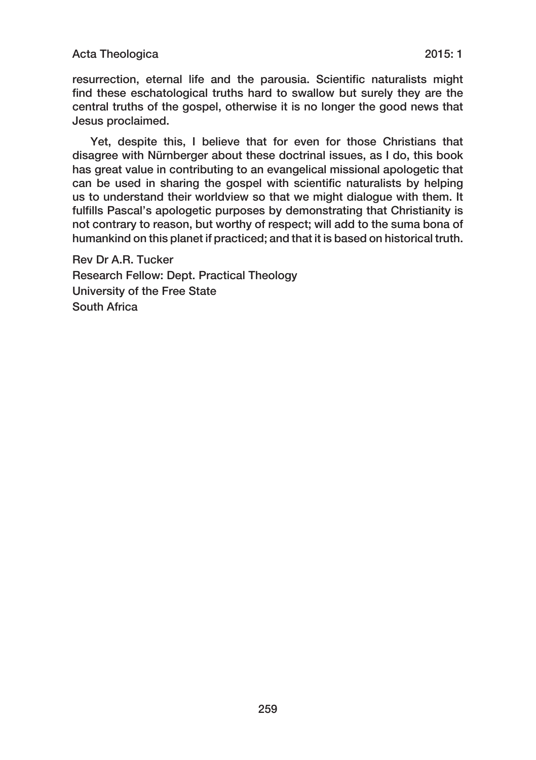## Acta Theologica 2015: 1

resurrection, eternal life and the parousia. Scientific naturalists might find these eschatological truths hard to swallow but surely they are the central truths of the gospel, otherwise it is no longer the good news that Jesus proclaimed.

Yet, despite this, I believe that for even for those Christians that disagree with Nürnberger about these doctrinal issues, as I do, this book has great value in contributing to an evangelical missional apologetic that can be used in sharing the gospel with scientific naturalists by helping us to understand their worldview so that we might dialogue with them. It fulfills Pascal's apologetic purposes by demonstrating that Christianity is not contrary to reason, but worthy of respect; will add to the suma bona of humankind on this planet if practiced; and that it is based on historical truth.

Rev Dr A.R. Tucker Research Fellow: Dept. Practical Theology University of the Free State South Africa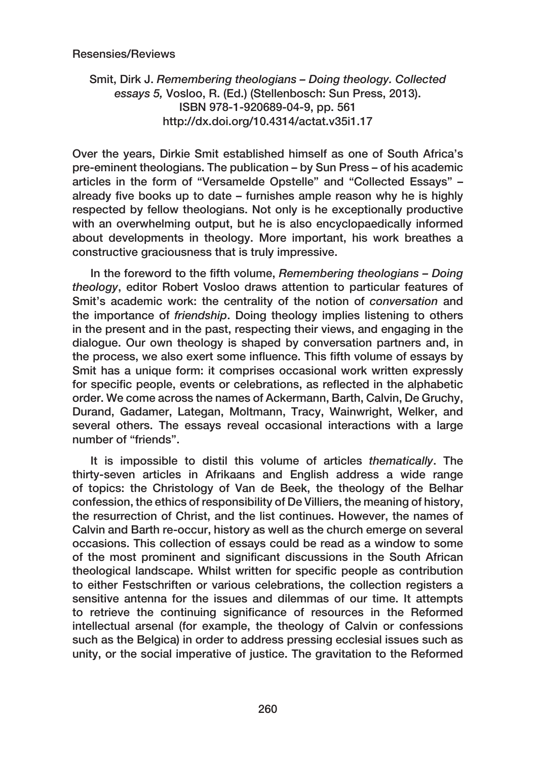Smit, Dirk J. *Remembering theologians – Doing theology. Collected essays 5,* Vosloo, R. (Ed.) (Stellenbosch: Sun Press, 2013). ISBN 978‑1‑920689‑04‑9, pp. 561 http://dx.doi.org/10.4314/actat.v35i1.17

Over the years, Dirkie Smit established himself as one of South Africa's pre‑eminent theologians. The publication – by Sun Press – of his academic articles in the form of "Versamelde Opstelle" and "Collected Essays" – already five books up to date – furnishes ample reason why he is highly respected by fellow theologians. Not only is he exceptionally productive with an overwhelming output, but he is also encyclopaedically informed about developments in theology. More important, his work breathes a constructive graciousness that is truly impressive.

In the foreword to the fifth volume, *Remembering theologians – Doing theology*, editor Robert Vosloo draws attention to particular features of Smit's academic work: the centrality of the notion of *conversation* and the importance of *friendship*. Doing theology implies listening to others in the present and in the past, respecting their views, and engaging in the dialogue. Our own theology is shaped by conversation partners and, in the process, we also exert some influence. This fifth volume of essays by Smit has a unique form: it comprises occasional work written expressly for specific people, events or celebrations, as reflected in the alphabetic order. We come across the names of Ackermann, Barth, Calvin, De Gruchy, Durand, Gadamer, Lategan, Moltmann, Tracy, Wainwright, Welker, and several others. The essays reveal occasional interactions with a large number of "friends".

It is impossible to distil this volume of articles *thematically*. The thirty‑seven articles in Afrikaans and English address a wide range of topics: the Christology of Van de Beek, the theology of the Belhar confession, the ethics of responsibility of De Villiers, the meaning of history, the resurrection of Christ, and the list continues. However, the names of Calvin and Barth re‑occur, history as well as the church emerge on several occasions. This collection of essays could be read as a window to some of the most prominent and significant discussions in the South African theological landscape. Whilst written for specific people as contribution to either Festschriften or various celebrations, the collection registers a sensitive antenna for the issues and dilemmas of our time. It attempts to retrieve the continuing significance of resources in the Reformed intellectual arsenal (for example, the theology of Calvin or confessions such as the Belgica) in order to address pressing ecclesial issues such as unity, or the social imperative of justice. The gravitation to the Reformed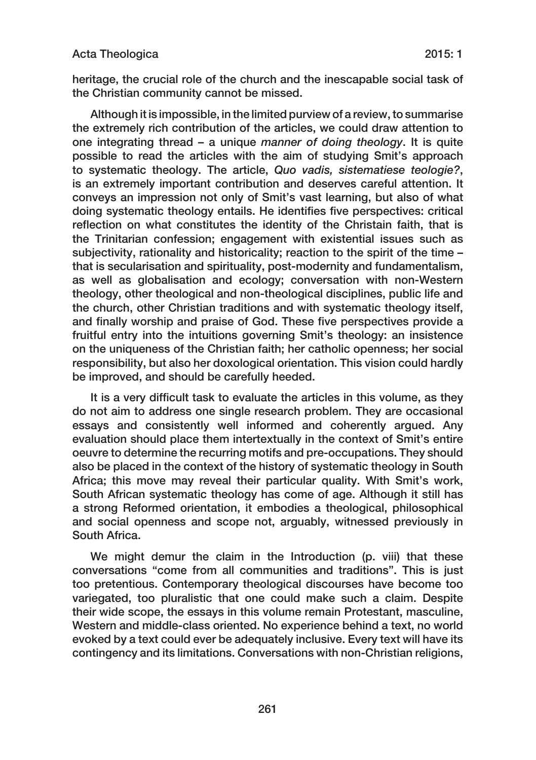#### Acta Theologica 2015: 1

heritage, the crucial role of the church and the inescapable social task of the Christian community cannot be missed.

Although it is impossible, in the limited purview of a review, to summarise the extremely rich contribution of the articles, we could draw attention to one integrating thread – a unique *manner of doing theology*. It is quite possible to read the articles with the aim of studying Smit's approach to systematic theology. The article, *Quo vadis, sistematiese teologie?*, is an extremely important contribution and deserves careful attention. It conveys an impression not only of Smit's vast learning, but also of what doing systematic theology entails. He identifies five perspectives: critical reflection on what constitutes the identity of the Christain faith, that is the Trinitarian confession; engagement with existential issues such as subjectivity, rationality and historicality; reaction to the spirit of the time – that is secularisation and spirituality, post-modernity and fundamentalism, as well as globalisation and ecology; conversation with non‑Western theology, other theological and non‑theological disciplines, public life and the church, other Christian traditions and with systematic theology itself, and finally worship and praise of God. These five perspectives provide a fruitful entry into the intuitions governing Smit's theology: an insistence on the uniqueness of the Christian faith; her catholic openness; her social responsibility, but also her doxological orientation. This vision could hardly be improved, and should be carefully heeded.

It is a very difficult task to evaluate the articles in this volume, as they do not aim to address one single research problem. They are occasional essays and consistently well informed and coherently argued. Any evaluation should place them intertextually in the context of Smit's entire oeuvre to determine the recurring motifs and pre‑occupations. They should also be placed in the context of the history of systematic theology in South Africa; this move may reveal their particular quality. With Smit's work, South African systematic theology has come of age. Although it still has a strong Reformed orientation, it embodies a theological, philosophical and social openness and scope not, arguably, witnessed previously in South Africa.

We might demur the claim in the Introduction (p. viii) that these conversations "come from all communities and traditions". This is just too pretentious. Contemporary theological discourses have become too variegated, too pluralistic that one could make such a claim. Despite their wide scope, the essays in this volume remain Protestant, masculine, Western and middle‑class oriented. No experience behind a text, no world evoked by a text could ever be adequately inclusive. Every text will have its contingency and its limitations. Conversations with non‑Christian religions,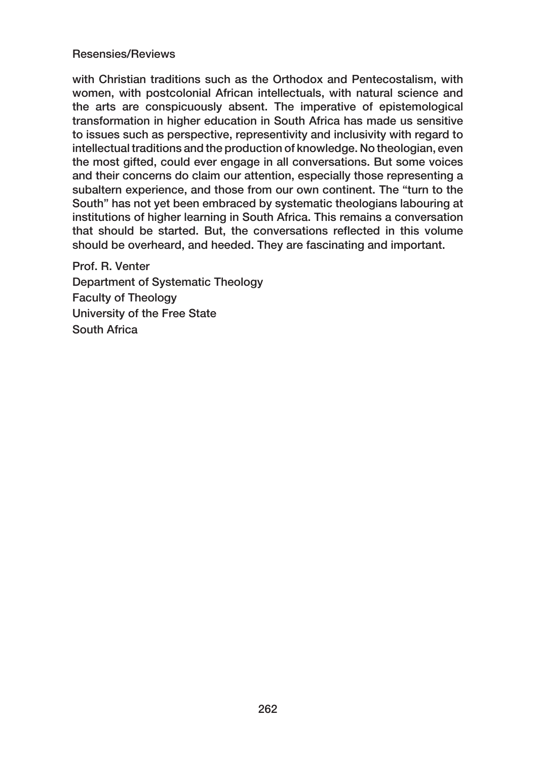with Christian traditions such as the Orthodox and Pentecostalism, with women, with postcolonial African intellectuals, with natural science and the arts are conspicuously absent. The imperative of epistemological transformation in higher education in South Africa has made us sensitive to issues such as perspective, representivity and inclusivity with regard to intellectual traditions and the production of knowledge. No theologian, even the most gifted, could ever engage in all conversations. But some voices and their concerns do claim our attention, especially those representing a subaltern experience, and those from our own continent. The "turn to the South" has not yet been embraced by systematic theologians labouring at institutions of higher learning in South Africa. This remains a conversation that should be started. But, the conversations reflected in this volume should be overheard, and heeded. They are fascinating and important.

Prof. R. Venter Department of Systematic Theology Faculty of Theology University of the Free State South Africa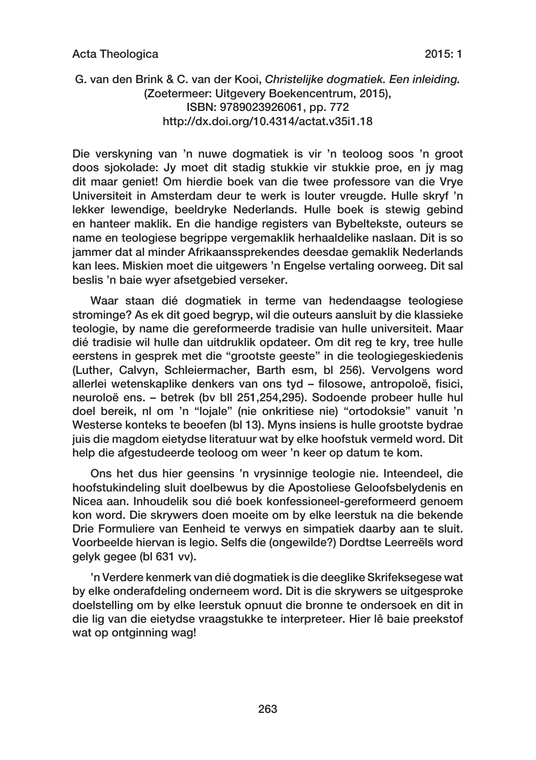G. van den Brink & C. van der Kooi, *Christelijke dogmatiek. Een inleiding.* (Zoetermeer: Uitgevery Boekencentrum, 2015), ISBN: 9789023926061, pp. 772 http://dx.doi.org/10.4314/actat.v35i1.18

Die verskyning van 'n nuwe dogmatiek is vir 'n teoloog soos 'n groot doos sjokolade: Jy moet dit stadig stukkie vir stukkie proe, en jy mag dit maar geniet! Om hierdie boek van die twee professore van die Vrye Universiteit in Amsterdam deur te werk is louter vreugde. Hulle skryf 'n lekker lewendige, beeldryke Nederlands. Hulle boek is stewig gebind en hanteer maklik. En die handige registers van Bybeltekste, outeurs se name en teologiese begrippe vergemaklik herhaaldelike naslaan. Dit is so jammer dat al minder Afrikaanssprekendes deesdae gemaklik Nederlands kan lees. Miskien moet die uitgewers 'n Engelse vertaling oorweeg. Dit sal beslis 'n baie wyer afsetgebied verseker.

Waar staan dié dogmatiek in terme van hedendaagse teologiese strominge? As ek dit goed begryp, wil die outeurs aansluit by die klassieke teologie, by name die gereformeerde tradisie van hulle universiteit. Maar dié tradisie wil hulle dan uitdruklik opdateer. Om dit reg te kry, tree hulle eerstens in gesprek met die "grootste geeste" in die teologiegeskiedenis (Luther, Calvyn, Schleiermacher, Barth esm, bl 256). Vervolgens word allerlei wetenskaplike denkers van ons tyd – filosowe, antropoloë, fisici, neuroloë ens. – betrek (bv bll 251,254,295). Sodoende probeer hulle hul doel bereik, nl om 'n "lojale" (nie onkritiese nie) "ortodoksie" vanuit 'n Westerse konteks te beoefen (bl 13). Myns insiens is hulle grootste bydrae juis die magdom eietydse literatuur wat by elke hoofstuk vermeld word. Dit help die afgestudeerde teoloog om weer 'n keer op datum te kom.

Ons het dus hier geensins 'n vrysinnige teologie nie. Inteendeel, die hoofstukindeling sluit doelbewus by die Apostoliese Geloofsbelydenis en Nicea aan. Inhoudelik sou dié boek konfessioneel‑gereformeerd genoem kon word. Die skrywers doen moeite om by elke leerstuk na die bekende Drie Formuliere van Eenheid te verwys en simpatiek daarby aan te sluit. Voorbeelde hiervan is legio. Selfs die (ongewilde?) Dordtse Leerreëls word gelyk gegee (bl 631 vv).

'n Verdere kenmerk van dié dogmatiek is die deeglike Skrifeksegese wat by elke onderafdeling onderneem word. Dit is die skrywers se uitgesproke doelstelling om by elke leerstuk opnuut die bronne te ondersoek en dit in die lig van die eietydse vraagstukke te interpreteer. Hier lê baie preekstof wat op ontginning wag!